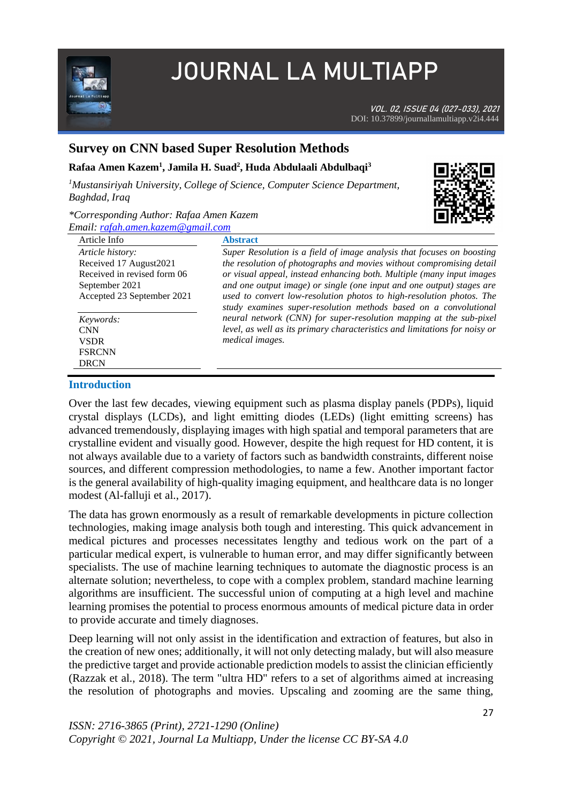

# **JOURNAL LA MULTIAPP**

VOL. 02, ISSUE 04 (027-033), 2021 DOI: 10.37899/journallamultiapp.v2i4.444

# **Survey on CNN based Super Resolution Methods**

## **Rafaa Amen Kazem<sup>1</sup> , Jamila H. Suad<sup>2</sup> , Huda Abdulaali Abdulbaqi<sup>3</sup>**

*<sup>1</sup>Mustansiriyah University, College of Science, Computer Science Department, Baghdad, Iraq* 

### *\*Corresponding Author: Rafaa Amen Kazem Email[: rafah.amen.kazem@gmail.com](mailto:rafah.amen.kazem@gmail.com)*



| Article Info                                                                                                               | <b>Abstract</b>                                                                                                                                                                                                                                                                                                                                                                                                                              |
|----------------------------------------------------------------------------------------------------------------------------|----------------------------------------------------------------------------------------------------------------------------------------------------------------------------------------------------------------------------------------------------------------------------------------------------------------------------------------------------------------------------------------------------------------------------------------------|
| Article history:<br>Received 17 August 2021<br>Received in revised form 06<br>September 2021<br>Accepted 23 September 2021 | Super Resolution is a field of image analysis that focuses on boosting<br>the resolution of photographs and movies without compromising detail<br>or visual appeal, instead enhancing both. Multiple (many input images<br>and one output image) or single (one input and one output) stages are<br>used to convert low-resolution photos to high-resolution photos. The<br>study examines super-resolution methods based on a convolutional |
| Keywords:<br><b>CNN</b><br><b>VSDR</b><br><b>FSRCNN</b><br><b>DRCN</b>                                                     | neural network (CNN) for super-resolution mapping at the sub-pixel<br>level, as well as its primary characteristics and limitations for noisy or<br>medical images.                                                                                                                                                                                                                                                                          |

### **Introduction**

Over the last few decades, viewing equipment such as plasma display panels (PDPs), liquid crystal displays (LCDs), and light emitting diodes (LEDs) (light emitting screens) has advanced tremendously, displaying images with high spatial and temporal parameters that are crystalline evident and visually good. However, despite the high request for HD content, it is not always available due to a variety of factors such as bandwidth constraints, different noise sources, and different compression methodologies, to name a few. Another important factor is the general availability of high-quality imaging equipment, and healthcare data is no longer modest (Al-falluji et al., 2017).

The data has grown enormously as a result of remarkable developments in picture collection technologies, making image analysis both tough and interesting. This quick advancement in medical pictures and processes necessitates lengthy and tedious work on the part of a particular medical expert, is vulnerable to human error, and may differ significantly between specialists. The use of machine learning techniques to automate the diagnostic process is an alternate solution; nevertheless, to cope with a complex problem, standard machine learning algorithms are insufficient. The successful union of computing at a high level and machine learning promises the potential to process enormous amounts of medical picture data in order to provide accurate and timely diagnoses.

Deep learning will not only assist in the identification and extraction of features, but also in the creation of new ones; additionally, it will not only detecting malady, but will also measure the predictive target and provide actionable prediction models to assist the clinician efficiently (Razzak et al., 2018). The term "ultra HD" refers to a set of algorithms aimed at increasing the resolution of photographs and movies. Upscaling and zooming are the same thing,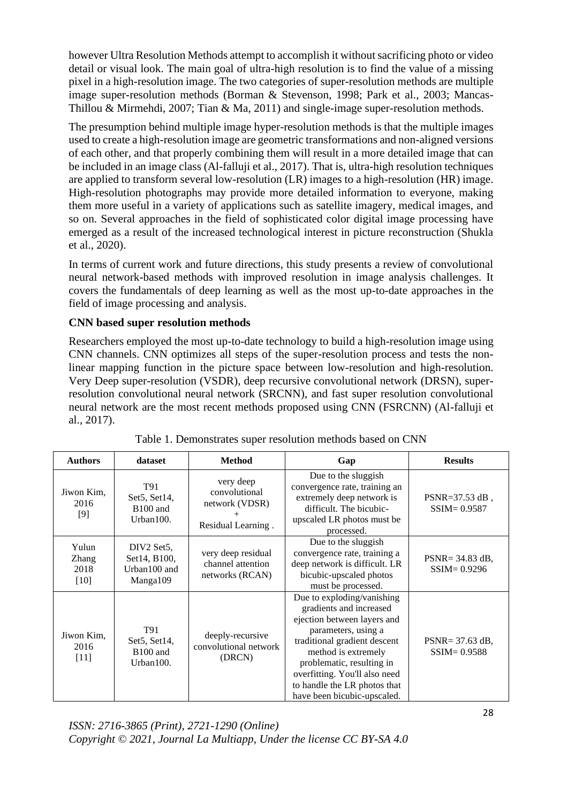however Ultra Resolution Methods attempt to accomplish it without sacrificing photo or video detail or visual look. The main goal of ultra-high resolution is to find the value of a missing pixel in a high-resolution image. The two categories of super-resolution methods are multiple image super-resolution methods (Borman & Stevenson, 1998; Park et al., 2003; Mancas-Thillou & Mirmehdi, 2007; Tian & Ma, 2011) and single-image super-resolution methods.

The presumption behind multiple image hyper-resolution methods is that the multiple images used to create a high-resolution image are geometric transformations and non-aligned versions of each other, and that properly combining them will result in a more detailed image that can be included in an image class (Al-falluji et al., 2017). That is, ultra-high resolution techniques are applied to transform several low-resolution (LR) images to a high-resolution (HR) image. High-resolution photographs may provide more detailed information to everyone, making them more useful in a variety of applications such as satellite imagery, medical images, and so on. Several approaches in the field of sophisticated color digital image processing have emerged as a result of the increased technological interest in picture reconstruction (Shukla et al., 2020).

In terms of current work and future directions, this study presents a review of convolutional neural network-based methods with improved resolution in image analysis challenges. It covers the fundamentals of deep learning as well as the most up-to-date approaches in the field of image processing and analysis.

## **CNN based super resolution methods**

Researchers employed the most up-to-date technology to build a high-resolution image using CNN channels. CNN optimizes all steps of the super-resolution process and tests the nonlinear mapping function in the picture space between low-resolution and high-resolution. Very Deep super-resolution (VSDR), deep recursive convolutional network (DRSN), superresolution convolutional neural network (SRCNN), and fast super resolution convolutional neural network are the most recent methods proposed using CNN (FSRCNN) (Al-falluji et al., 2017).

| <b>Authors</b>                   | dataset                                                  | <b>Method</b>                                                      | Gap                                                                                                                                                                                                                                                                                             | <b>Results</b>                         |
|----------------------------------|----------------------------------------------------------|--------------------------------------------------------------------|-------------------------------------------------------------------------------------------------------------------------------------------------------------------------------------------------------------------------------------------------------------------------------------------------|----------------------------------------|
| Jiwon Kim,<br>2016<br>$[9]$      | T91<br>Set5, Set14,<br>B <sub>100</sub> and<br>Urban100. | very deep<br>convolutional<br>network (VDSR)<br>Residual Learning. | Due to the sluggish<br>convergence rate, training an<br>extremely deep network is<br>difficult. The bicubic-<br>upscaled LR photos must be<br>processed.                                                                                                                                        | PSNR= $37.53$ dB,<br>$SSIM = 0.9587$   |
| Yulun<br>Zhang<br>2018<br>$[10]$ | DIV2 Set5.<br>Set14, B100,<br>Urban100 and<br>Manga109   | very deep residual<br>channel attention<br>networks (RCAN)         | Due to the sluggish<br>convergence rate, training a<br>deep network is difficult. LR<br>bicubic-upscaled photos<br>must be processed.                                                                                                                                                           | $PSNR = 34.83 dB$ ,<br>$SSIM = 0.9296$ |
| Jiwon Kim,<br>2016<br>$[11]$     | T91<br>Set5, Set14,<br>B <sub>100</sub> and<br>Urban100. | deeply-recursive<br>convolutional network<br>(DRCN)                | Due to exploding/vanishing<br>gradients and increased<br>ejection between layers and<br>parameters, using a<br>traditional gradient descent<br>method is extremely<br>problematic, resulting in<br>overfitting. You'll also need<br>to handle the LR photos that<br>have been bicubic-upscaled. | PSNR= 37.63 dB,<br>$SSIM = 0.9588$     |

Table 1. Demonstrates super resolution methods based on CNN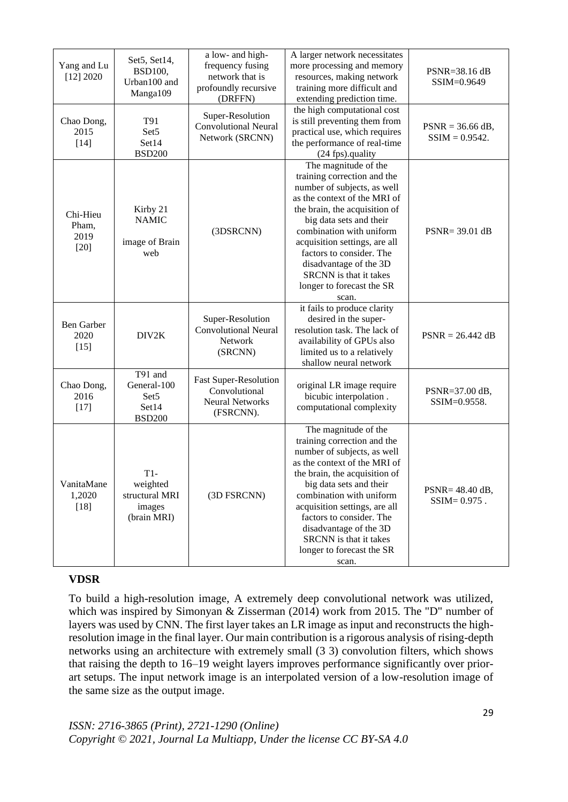|                                     |                                                                      | a low- and high-                                                                     | A larger network necessitates                                                                                                                                                                                                                                                                                                                                     |                                        |
|-------------------------------------|----------------------------------------------------------------------|--------------------------------------------------------------------------------------|-------------------------------------------------------------------------------------------------------------------------------------------------------------------------------------------------------------------------------------------------------------------------------------------------------------------------------------------------------------------|----------------------------------------|
| Yang and Lu<br>[12] 2020            | Set5, Set14,<br><b>BSD100,</b><br>Urban100 and<br>Manga109           | frequency fusing<br>network that is<br>profoundly recursive<br>(DRFFN)               | more processing and memory<br>resources, making network<br>training more difficult and<br>extending prediction time.                                                                                                                                                                                                                                              | PSNR=38.16 dB<br>SSIM=0.9649           |
| Chao Dong,<br>2015<br>$[14]$        | T91<br>Set5<br>Set14<br><b>BSD200</b>                                | Super-Resolution<br><b>Convolutional Neural</b><br>Network (SRCNN)                   | the high computational cost<br>is still preventing them from<br>practical use, which requires<br>the performance of real-time<br>(24 fps).quality                                                                                                                                                                                                                 | $PSNR = 36.66$ dB,<br>$SSIM = 0.9542.$ |
| Chi-Hieu<br>Pham,<br>2019<br>$[20]$ | Kirby 21<br><b>NAMIC</b><br>image of Brain<br>web                    | (3DSRCNN)                                                                            | The magnitude of the<br>training correction and the<br>number of subjects, as well<br>as the context of the MRI of<br>the brain, the acquisition of<br>big data sets and their<br>combination with uniform<br>acquisition settings, are all<br>factors to consider. The<br>disadvantage of the 3D<br>SRCNN is that it takes<br>longer to forecast the SR<br>scan. | $PSNR = 39.01$ dB                      |
| <b>Ben Garber</b><br>2020<br>$[15]$ | DIV2K                                                                | Super-Resolution<br><b>Convolutional Neural</b><br>Network<br>(SRCNN)                | it fails to produce clarity<br>desired in the super-<br>resolution task. The lack of<br>availability of GPUs also<br>limited us to a relatively<br>shallow neural network                                                                                                                                                                                         | $PSNR = 26.442 dB$                     |
| Chao Dong,<br>2016<br>$[17]$        | T91 and<br>General-100<br>Set <sub>5</sub><br>Set14<br><b>BSD200</b> | <b>Fast Super-Resolution</b><br>Convolutional<br><b>Neural Networks</b><br>(FSRCNN). | original LR image require<br>bicubic interpolation.<br>computational complexity                                                                                                                                                                                                                                                                                   | PSNR=37.00 dB,<br>SSIM=0.9558.         |
| VanitaMane<br>1,2020<br>$[18]$      | $T1-$<br>weighted<br>structural MRI<br>images<br>(brain MRI)         | (3D FSRCNN)                                                                          | The magnitude of the<br>training correction and the<br>number of subjects, as well<br>as the context of the MRI of<br>the brain, the acquisition of<br>big data sets and their<br>combination with uniform<br>acquisition settings, are all<br>factors to consider. The<br>disadvantage of the 3D<br>SRCNN is that it takes<br>longer to forecast the SR<br>scan. | PSNR= 48.40 dB,<br>$SSIM = 0.975$ .    |

## **VDSR**

To build a high-resolution image, A extremely deep convolutional network was utilized, which was inspired by Simonyan & Zisserman (2014) work from 2015. The "D" number of layers was used by CNN. The first layer takes an LR image as input and reconstructs the highresolution image in the final layer. Our main contribution is a rigorous analysis of rising-depth networks using an architecture with extremely small (3 3) convolution filters, which shows that raising the depth to 16–19 weight layers improves performance significantly over priorart setups. The input network image is an interpolated version of a low-resolution image of the same size as the output image.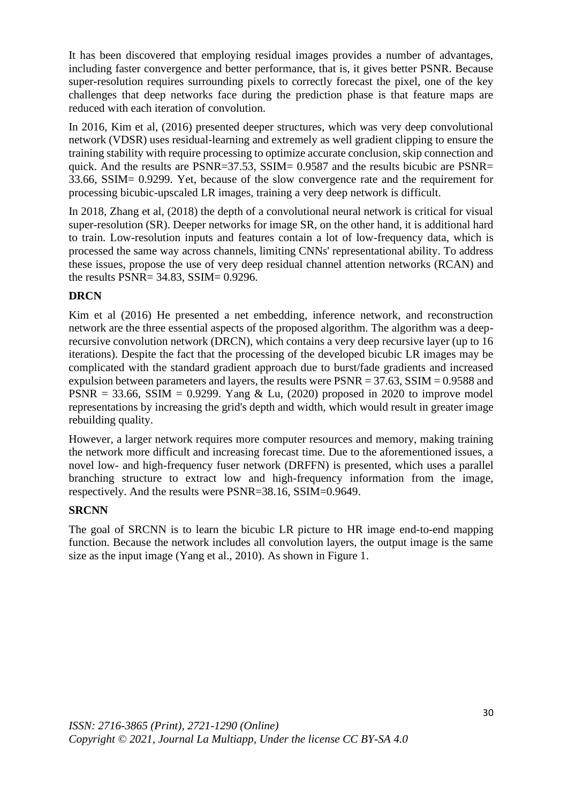It has been discovered that employing residual images provides a number of advantages, including faster convergence and better performance, that is, it gives better PSNR. Because super-resolution requires surrounding pixels to correctly forecast the pixel, one of the key challenges that deep networks face during the prediction phase is that feature maps are reduced with each iteration of convolution.

In 2016, Kim et al, (2016) presented deeper structures, which was very deep convolutional network (VDSR) uses residual-learning and extremely as well gradient clipping to ensure the training stability with require processing to optimize accurate conclusion, skip connection and quick. And the results are PSNR=37.53, SSIM= 0.9587 and the results bicubic are PSNR= 33.66, SSIM= 0.9299. Yet, because of the slow convergence rate and the requirement for processing bicubic-upscaled LR images, training a very deep network is difficult.

In 2018, Zhang et al, (2018) the depth of a convolutional neural network is critical for visual super-resolution (SR). Deeper networks for image SR, on the other hand, it is additional hard to train. Low-resolution inputs and features contain a lot of low-frequency data, which is processed the same way across channels, limiting CNNs' representational ability. To address these issues, propose the use of very deep residual channel attention networks (RCAN) and the results PSNR= 34.83, SSIM= 0.9296.

## **DRCN**

Kim et al (2016) He presented a net embedding, inference network, and reconstruction network are the three essential aspects of the proposed algorithm. The algorithm was a deeprecursive convolution network (DRCN), which contains a very deep recursive layer (up to 16 iterations). Despite the fact that the processing of the developed bicubic LR images may be complicated with the standard gradient approach due to burst/fade gradients and increased expulsion between parameters and layers, the results were  $PSNR = 37.63$ ,  $SSIM = 0.9588$  and PSNR = 33.66, SSIM = 0.9299. Yang & Lu, (2020) proposed in 2020 to improve model representations by increasing the grid's depth and width, which would result in greater image rebuilding quality.

However, a larger network requires more computer resources and memory, making training the network more difficult and increasing forecast time. Due to the aforementioned issues, a novel low- and high-frequency fuser network (DRFFN) is presented, which uses a parallel branching structure to extract low and high-frequency information from the image, respectively. And the results were PSNR=38.16, SSIM=0.9649.

## **SRCNN**

The goal of SRCNN is to learn the bicubic LR picture to HR image end-to-end mapping function. Because the network includes all convolution layers, the output image is the same size as the input image (Yang et al., 2010). As shown in Figure 1.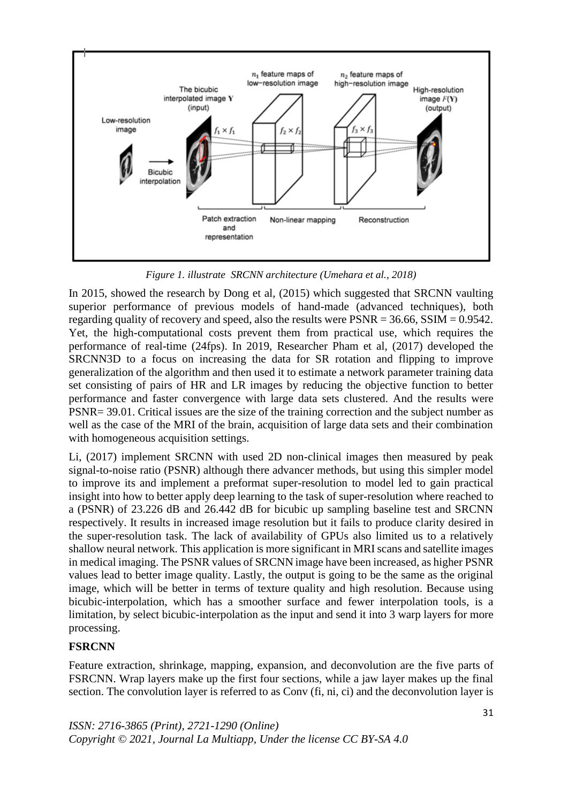

*Figure 1. illustrate SRCNN architecture (Umehara et al., 2018)*

In 2015, showed the research by Dong et al, (2015) which suggested that SRCNN vaulting superior performance of previous models of hand-made (advanced techniques), both regarding quality of recovery and speed, also the results were  $PSNR = 36.66$ ,  $SSIM = 0.9542$ . Yet, the high-computational costs prevent them from practical use, which requires the performance of real-time (24fps). In 2019, Researcher Pham et al, (2017) developed the SRCNN3D to a focus on increasing the data for SR rotation and flipping to improve generalization of the algorithm and then used it to estimate a network parameter training data set consisting of pairs of HR and LR images by reducing the objective function to better performance and faster convergence with large data sets clustered. And the results were PSNR= 39.01. Critical issues are the size of the training correction and the subject number as well as the case of the MRI of the brain, acquisition of large data sets and their combination with homogeneous acquisition settings.

Li, (2017) implement SRCNN with used 2D non-clinical images then measured by peak signal-to-noise ratio (PSNR) although there advancer methods, but using this simpler model to improve its and implement a preformat super-resolution to model led to gain practical insight into how to better apply deep learning to the task of super-resolution where reached to a (PSNR) of 23.226 dB and 26.442 dB for bicubic up sampling baseline test and SRCNN respectively. It results in increased image resolution but it fails to produce clarity desired in the super-resolution task. The lack of availability of GPUs also limited us to a relatively shallow neural network. This application is more significant in MRI scans and satellite images in medical imaging. The PSNR values of SRCNN image have been increased, as higher PSNR values lead to better image quality. Lastly, the output is going to be the same as the original image, which will be better in terms of texture quality and high resolution. Because using bicubic-interpolation, which has a smoother surface and fewer interpolation tools, is a limitation, by select bicubic-interpolation as the input and send it into 3 warp layers for more processing.

## **FSRCNN**

Feature extraction, shrinkage, mapping, expansion, and deconvolution are the five parts of FSRCNN. Wrap layers make up the first four sections, while a jaw layer makes up the final section. The convolution layer is referred to as Conv (fi, ni, ci) and the deconvolution layer is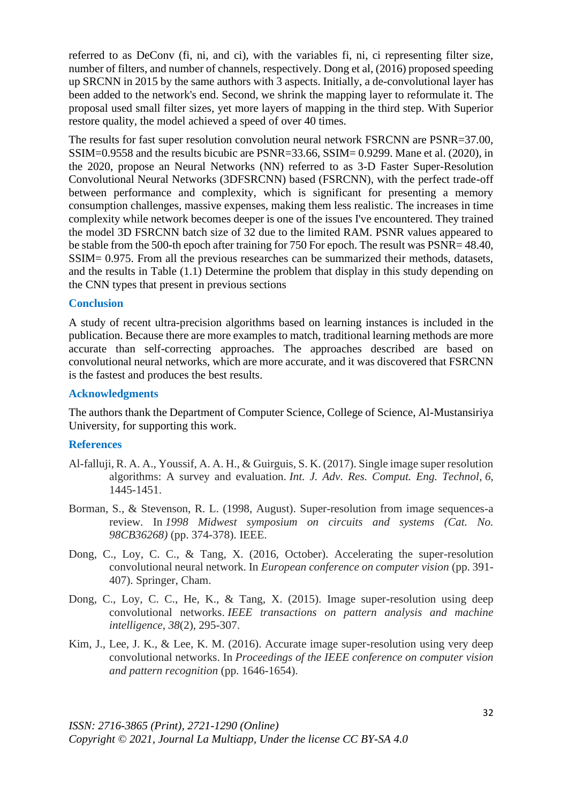referred to as DeConv (fi, ni, and ci), with the variables fi, ni, ci representing filter size, number of filters, and number of channels, respectively. Dong et al, (2016) proposed speeding up SRCNN in 2015 by the same authors with 3 aspects. Initially, a de-convolutional layer has been added to the network's end. Second, we shrink the mapping layer to reformulate it. The proposal used small filter sizes, yet more layers of mapping in the third step. With Superior restore quality, the model achieved a speed of over 40 times.

The results for fast super resolution convolution neural network FSRCNN are PSNR=37.00, SSIM=0.9558 and the results bicubic are PSNR=33.66, SSIM= 0.9299. Mane et al. (2020), in the 2020, propose an Neural Networks (NN) referred to as 3-D Faster Super-Resolution Convolutional Neural Networks (3DFSRCNN) based (FSRCNN), with the perfect trade-off between performance and complexity, which is significant for presenting a memory consumption challenges, massive expenses, making them less realistic. The increases in time complexity while network becomes deeper is one of the issues I've encountered. They trained the model 3D FSRCNN batch size of 32 due to the limited RAM. PSNR values appeared to be stable from the 500-th epoch after training for 750 For epoch. The result was PSNR= 48.40, SSIM= 0.975. From all the previous researches can be summarized their methods, datasets, and the results in Table (1.1) Determine the problem that display in this study depending on the CNN types that present in previous sections

#### **Conclusion**

A study of recent ultra-precision algorithms based on learning instances is included in the publication. Because there are more examples to match, traditional learning methods are more accurate than self-correcting approaches. The approaches described are based on convolutional neural networks, which are more accurate, and it was discovered that FSRCNN is the fastest and produces the best results.

### **Acknowledgments**

The authors thank the Department of Computer Science, College of Science, Al-Mustansiriya University, for supporting this work.

#### **References**

- Al-falluji, R. A. A., Youssif, A. A. H., & Guirguis, S. K. (2017). Single image super resolution algorithms: A survey and evaluation. *Int. J. Adv. Res. Comput. Eng. Technol*, *6*, 1445-1451.
- Borman, S., & Stevenson, R. L. (1998, August). Super-resolution from image sequences-a review. In *1998 Midwest symposium on circuits and systems (Cat. No. 98CB36268)* (pp. 374-378). IEEE.
- Dong, C., Loy, C. C., & Tang, X. (2016, October). Accelerating the super-resolution convolutional neural network. In *European conference on computer vision* (pp. 391- 407). Springer, Cham.
- Dong, C., Loy, C. C., He, K., & Tang, X. (2015). Image super-resolution using deep convolutional networks. *IEEE transactions on pattern analysis and machine intelligence*, *38*(2), 295-307.
- Kim, J., Lee, J. K., & Lee, K. M. (2016). Accurate image super-resolution using very deep convolutional networks. In *Proceedings of the IEEE conference on computer vision and pattern recognition* (pp. 1646-1654).